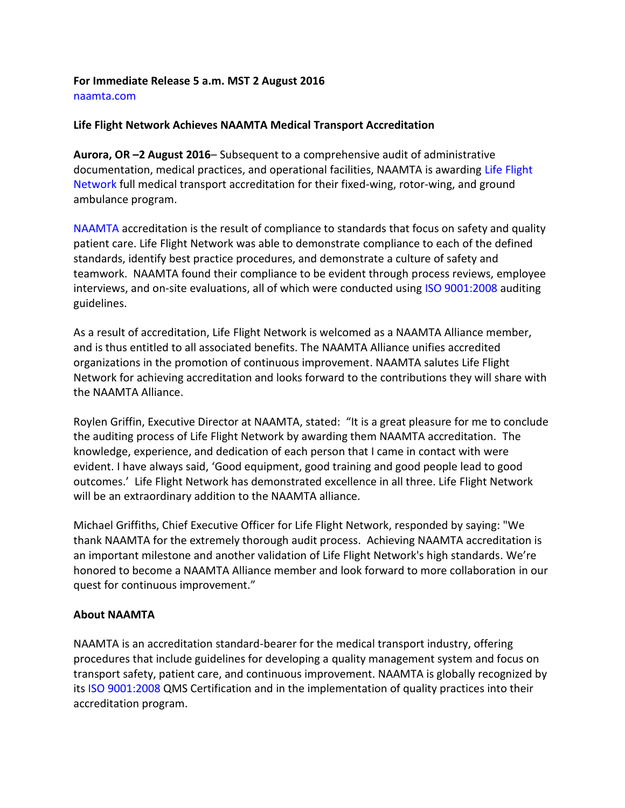## **For Immediate Release 5 a.m. MST 2 August 2016** naamta.com

## **Life Flight Network Achieves NAAMTA Medical Transport Accreditation**

**Aurora, OR –2 August 2016**– Subsequent to a comprehensive audit of administrative documentation, medical practices, and operational facilities, NAAMTA is awarding Life Flight Network full medical transport accreditation for their fixed-wing, rotor-wing, and ground ambulance program.

NAAMTA accreditation is the result of compliance to standards that focus on safety and quality patient care. Life Flight Network was able to demonstrate compliance to each of the defined standards, identify best practice procedures, and demonstrate a culture of safety and teamwork. NAAMTA found their compliance to be evident through process reviews, employee interviews, and on-site evaluations, all of which were conducted using ISO 9001:2008 auditing guidelines.

As a result of accreditation, Life Flight Network is welcomed as a NAAMTA Alliance member, and is thus entitled to all associated benefits. The NAAMTA Alliance unifies accredited organizations in the promotion of continuous improvement. NAAMTA salutes Life Flight Network for achieving accreditation and looks forward to the contributions they will share with the NAAMTA Alliance.

Roylen Griffin, Executive Director at NAAMTA, stated: "It is a great pleasure for me to conclude the auditing process of Life Flight Network by awarding them NAAMTA accreditation. The knowledge, experience, and dedication of each person that I came in contact with were evident. I have always said, 'Good equipment, good training and good people lead to good outcomes.' Life Flight Network has demonstrated excellence in all three. Life Flight Network will be an extraordinary addition to the NAAMTA alliance.

Michael Griffiths, Chief Executive Officer for Life Flight Network, responded by saying: "We thank NAAMTA for the extremely thorough audit process. Achieving NAAMTA accreditation is an important milestone and another validation of Life Flight Network's high standards. We're honored to become a NAAMTA Alliance member and look forward to more collaboration in our quest for continuous improvement."

## **About NAAMTA**

NAAMTA is an accreditation standard-bearer for the medical transport industry, offering procedures that include guidelines for developing a quality management system and focus on transport safety, patient care, and continuous improvement. NAAMTA is globally recognized by its ISO 9001:2008 QMS Certification and in the implementation of quality practices into their accreditation program.